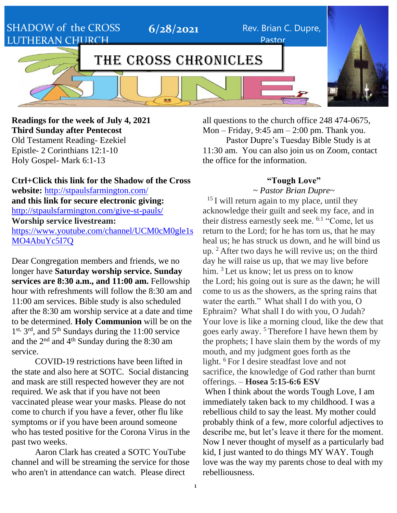SHADOW of the CROSS LUTHERAN CHURCH

# THE CROSS CHRONICLES

**6/28/2021** Rev. Brian C. Dupre,

### **Readings for the week of July 4, 2021 Third Sunday after Pentecost** Old Testament Reading- Ezekiel

Epistle- 2 Corinthians 12:1-10 Holy Gospel- Mark 6:1-13

all questions to the church office 248 474-0675, Mon – Friday, 9:45 am – 2:00 pm. Thank you. Pastor Dupre's Tuesday Bible Study is at 11:30 am. You can also join us on Zoom, contact the office for the information.

Pastor

### **"Tough Love"** ~ *Pastor Brian Dupre*~

**Ctrl+Click this link for the Shadow of the Cross website:** <http://stpaulsfarmington.com/> **and this link for secure electronic giving:** <http://stpaulsfarmington.com/give-st-pauls/> **Worship service livestream:**  [https://www.youtube.com/channel/UCM0cM0gle1s](https://www.youtube.com/channel/UCM0cM0gle1sMO4AbuYc5I7Q) [MO4AbuYc5I7Q](https://www.youtube.com/channel/UCM0cM0gle1sMO4AbuYc5I7Q)

Dear Congregation members and friends, we no longer have **Saturday worship service. Sunday services are 8:30 a.m., and 11:00 am.** Fellowship hour with refreshments will follow the 8:30 am and 11:00 am services. Bible study is also scheduled after the 8:30 am worship service at a date and time to be determined. **Holy Communion** will be on the 1<sup>st, 3rd</sup>, and 5<sup>th</sup> Sundays during the 11:00 service and the 2nd and 4th Sunday during the 8:30 am service.

COVID-19 restrictions have been lifted in the state and also here at SOTC. Social distancing and mask are still respected however they are not required. We ask that if you have not been vaccinated please wear your masks. Please do not come to church if you have a fever, other flu like symptoms or if you have been around someone who has tested positive for the Corona Virus in the past two weeks.

Aaron Clark has created a SOTC YouTube channel and will be streaming the service for those who aren't in attendance can watch. Please direct

 $15$  I will return again to my place, until they acknowledge their guilt and seek my face, and in their distress earnestly seek me. 6:1 "Come, let us return to the Lord; for he has torn us, that he may heal us; he has struck us down, and he will bind us up. <sup>2</sup> After two days he will revive us; on the third day he will raise us up, that we may live before him. <sup>3</sup> Let us know; let us press on to know the Lord; his going out is sure as the dawn; he will come to us as the showers, as the spring rains that water the earth." What shall I do with you, O Ephraim? What shall I do with you, O Judah? Your love is like a morning cloud, like the dew that goes early away. <sup>5</sup> Therefore I have hewn them by the prophets; I have slain them by the words of my mouth, and my judgment goes forth as the light. <sup>6</sup> For I desire steadfast love and not sacrifice, the knowledge of God rather than burnt offerings. – **Hosea 5:15-6:6 ESV**

When I think about the words Tough Love, I am immediately taken back to my childhood. I was a rebellious child to say the least. My mother could probably think of a few, more colorful adjectives to describe me, but let's leave it there for the moment. Now I never thought of myself as a particularly bad kid, I just wanted to do things MY WAY. Tough love was the way my parents chose to deal with my rebelliousness.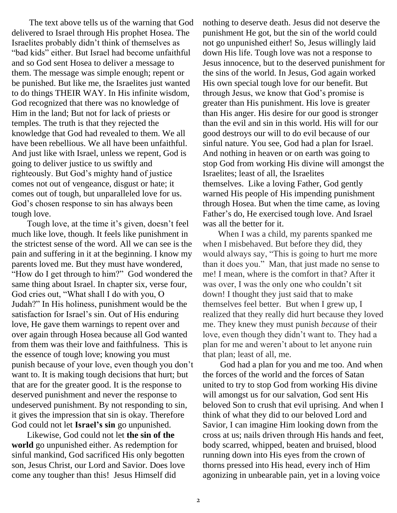The text above tells us of the warning that God delivered to Israel through His prophet Hosea. The Israelites probably didn't think of themselves as "bad kids" either. But Israel had become unfaithful and so God sent Hosea to deliver a message to them. The message was simple enough; repent or be punished. But like me, the Israelites just wanted to do things THEIR WAY. In His infinite wisdom, God recognized that there was no knowledge of Him in the land; But not for lack of priests or temples. The truth is that they rejected the knowledge that God had revealed to them. We all have been rebellious. We all have been unfaithful. And just like with Israel, unless we repent, God is going to deliver justice to us swiftly and righteously. But God's mighty hand of justice comes not out of vengeance, disgust or hate; it comes out of tough, but unparalleled love for us. God's chosen response to sin has always been tough love.

 Tough love, at the time it's given, doesn't feel much like love, though. It feels like punishment in the strictest sense of the word. All we can see is the pain and suffering in it at the beginning. I know my parents loved me. But they must have wondered, "How do I get through to him?" God wondered the same thing about Israel. In chapter six, verse four, God cries out, "What shall I do with you, O Judah?" In His holiness, punishment would be the satisfaction for Israel's sin. Out of His enduring love, He gave them warnings to repent over and over again through Hosea because all God wanted from them was their love and faithfulness. This is the essence of tough love; knowing you must punish because of your love, even though you don't want to. It is making tough decisions that hurt; but that are for the greater good. It is the response to deserved punishment and never the response to undeserved punishment. By not responding to sin, it gives the impression that sin is okay. Therefore God could not let **Israel's sin** go unpunished.

 Likewise, God could not let **the sin of the world** go unpunished either. As redemption for sinful mankind, God sacrificed His only begotten son, Jesus Christ, our Lord and Savior. Does love come any tougher than this! Jesus Himself did

nothing to deserve death. Jesus did not deserve the punishment He got, but the sin of the world could not go unpunished either! So, Jesus willingly laid down His life. Tough love was not a response to Jesus innocence, but to the deserved punishment for the sins of the world. In Jesus, God again worked His own special tough love for our benefit. But through Jesus, we know that God's promise is greater than His punishment. His love is greater than His anger. His desire for our good is stronger than the evil and sin in this world. His will for our good destroys our will to do evil because of our sinful nature. You see, God had a plan for Israel. And nothing in heaven or on earth was going to stop God from working His divine will amongst the Israelites; least of all, the Israelites themselves. Like a loving Father, God gently warned His people of His impending punishment through Hosea. But when the time came, as loving Father's do, He exercised tough love. And Israel was all the better for it.

 When I was a child, my parents spanked me when I misbehaved. But before they did, they would always say, "This is going to hurt me more than it does you." Man, that just made no sense to me! I mean, where is the comfort in that? After it was over, I was the only one who couldn't sit down! I thought they just said that to make themselves feel better. But when I grew up, I realized that they really did hurt because they loved me. They knew they must punish *because* of their love, even though they didn't want to. They had a plan for me and weren't about to let anyone ruin that plan; least of all, me.

 God had a plan for you and me too. And when the forces of the world and the forces of Satan united to try to stop God from working His divine will amongst us for our salvation, God sent His beloved Son to crush that evil uprising. And when I think of what they did to our beloved Lord and Savior, I can imagine Him looking down from the cross at us; nails driven through His hands and feet, body scarred, whipped, beaten and bruised, blood running down into His eyes from the crown of thorns pressed into His head, every inch of Him agonizing in unbearable pain, yet in a loving voice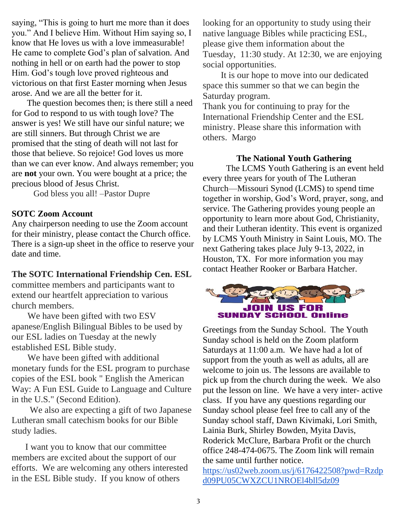saying, "This is going to hurt me more than it does you." And I believe Him. Without Him saying so, I know that He loves us with a love immeasurable! He came to complete God's plan of salvation. And nothing in hell or on earth had the power to stop Him. God's tough love proved righteous and victorious on that first Easter morning when Jesus arose. And we are all the better for it.

 The question becomes then; is there still a need for God to respond to us with tough love? The answer is yes! We still have our sinful nature; we are still sinners. But through Christ we are promised that the sting of death will not last for those that believe. So rejoice! God loves us more than we can ever know. And always remember; you are **not** your own. You were bought at a price; the precious blood of Jesus Christ.

God bless you all! –Pastor Dupre

### **SOTC Zoom Account**

Any chairperson needing to use the Zoom account for their ministry, please contact the Church office. There is a sign-up sheet in the office to reserve your date and time.

#### **The SOTC International Friendship Cen. ESL**

committee members and participants want to extend our heartfelt appreciation to various church members.

 We have been gifted with two ESV apanese/English Bilingual Bibles to be used by our ESL ladies on Tuesday at the newly established ESL Bible study.

 We have been gifted with additional monetary funds for the ESL program to purchase copies of the ESL book " English the American Way: A Fun ESL Guide to Language and Culture in the U.S." (Second Edition).

 We also are expecting a gift of two Japanese Lutheran small catechism books for our Bible study ladies.

 I want you to know that our committee members are excited about the support of our efforts. We are welcoming any others interested in the ESL Bible study. If you know of others

looking for an opportunity to study using their native language Bibles while practicing ESL, please give them information about the Tuesday, 11:30 study. At 12:30, we are enjoying social opportunities.

 It is our hope to move into our dedicated space this summer so that we can begin the Saturday program.

Thank you for continuing to pray for the International Friendship Center and the ESL ministry. Please share this information with others. Margo

#### **The National Youth Gathering**

The LCMS Youth Gathering is an event held every three years for youth of The Lutheran Church—Missouri Synod (LCMS) to spend time together in worship, God's Word, prayer, song, and service. The Gathering provides young people an opportunity to learn more about God, Christianity, and their Lutheran identity. This event is organized by LCMS Youth Ministry in Saint Louis, MO. The next Gathering takes place July 9-13, 2022, in Houston, TX. For more information you may contact Heather Rooker or Barbara Hatcher.



Greetings from the Sunday School. The Youth Sunday school is held on the Zoom platform Saturdays at 11:00 a.m. We have had a lot of support from the youth as well as adults, all are welcome to join us. The lessons are available to pick up from the church during the week. We also put the lesson on line. We have a very inter- active class. If you have any questions regarding our Sunday school please feel free to call any of the Sunday school staff, Dawn Kivimaki, Lori Smith, Lainia Burk, Shirley Bowden, Myita Davis, Roderick McClure, Barbara Profit or the church office 248-474-0675. The Zoom link will remain the same until further notice. [https://us02web.zoom.us/j/6176422508?pwd=Rzdp](https://us02web.zoom.us/j/6176422508?pwd=Rzdpd09PU05CWXZCU1NROEl4bll5dz09)

[d09PU05CWXZCU1NROEl4bll5dz09](https://us02web.zoom.us/j/6176422508?pwd=Rzdpd09PU05CWXZCU1NROEl4bll5dz09)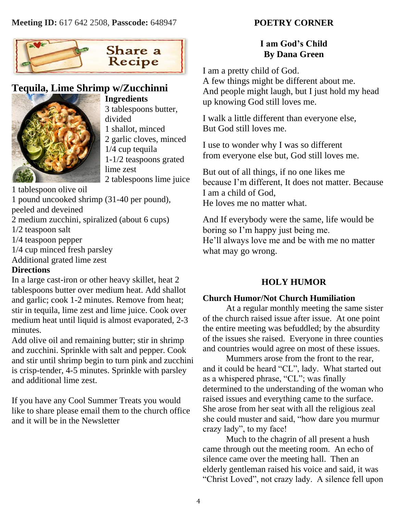

## **Tequila, Lime Shrimp w/Zucchinni**



**Ingredients** 3 tablespoons butter, divided 1 shallot, minced 2 garlic cloves, minced 1/4 cup tequila 1-1/2 teaspoons grated lime zest 2 tablespoons lime juice

1 tablespoon olive oil

1 pound uncooked shrimp (31-40 per pound), peeled and deveined

2 medium zucchini, spiralized (about 6 cups)

1/2 teaspoon salt

1/4 teaspoon pepper

1/4 cup minced fresh parsley

Additional grated lime zest

### **Directions**

In a large cast-iron or other heavy skillet, heat 2 tablespoons butter over medium heat. Add shallot and garlic; cook 1-2 minutes. Remove from heat; stir in tequila, lime zest and lime juice. Cook over medium heat until liquid is almost evaporated, 2-3 minutes.

Add olive oil and remaining butter; stir in shrimp and zucchini. Sprinkle with salt and pepper. Cook and stir until shrimp begin to turn pink and zucchini is crisp-tender, 4-5 minutes. Sprinkle with parsley and additional lime zest.

If you have any Cool Summer Treats you would like to share please email them to the church office and it will be in the Newsletter

### **POETRY CORNER**

### **I am God's Child By Dana Green**

I am a pretty child of God.

A few things might be different about me. And people might laugh, but I just hold my head up knowing God still loves me.

I walk a little different than everyone else, But God still loves me.

I use to wonder why I was so different from everyone else but, God still loves me.

But out of all things, if no one likes me because I'm different, It does not matter. Because I am a child of God, He loves me no matter what.

And If everybody were the same, life would be boring so I'm happy just being me. He'll always love me and be with me no matter what may go wrong.

### **HOLY HUMOR**

### **Church Humor/Not Church Humiliation**

At a regular monthly meeting the same sister of the church raised issue after issue. At one point the entire meeting was befuddled; by the absurdity of the issues she raised. Everyone in three counties and countries would agree on most of these issues.

Mummers arose from the front to the rear, and it could be heard "CL", lady. What started out as a whispered phrase, "CL"; was finally determined to the understanding of the woman who raised issues and everything came to the surface. She arose from her seat with all the religious zeal she could muster and said, "how dare you murmur crazy lady", to my face!

Much to the chagrin of all present a hush came through out the meeting room. An echo of silence came over the meeting hall. Then an elderly gentleman raised his voice and said, it was "Christ Loved", not crazy lady. A silence fell upon